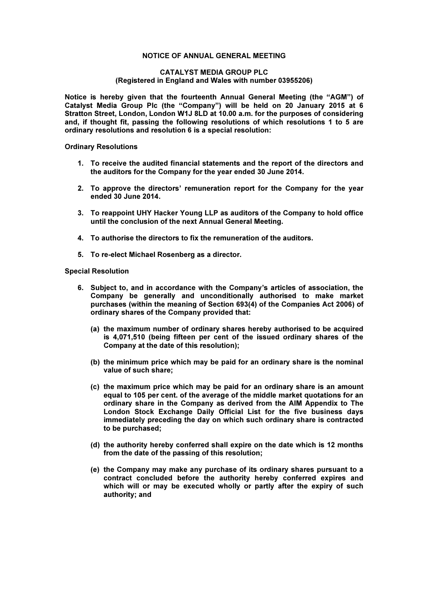## NOTICE OF ANNUAL GENERAL MEETING

## CATALYST MEDIA GROUP PLC (Registered in England and Wales with number 03955206)

Notice is hereby given that the fourteenth Annual General Meeting (the "AGM") of Catalyst Media Group Plc (the "Company") will be held on 20 January 2015 at 6 Stratton Street, London, London W1J 8LD at 10.00 a.m. for the purposes of considering and, if thought fit, passing the following resolutions of which resolutions 1 to 5 are ordinary resolutions and resolution 6 is a special resolution:

Ordinary Resolutions

- 1. To receive the audited financial statements and the report of the directors and the auditors for the Company for the year ended 30 June 2014.
- 2. To approve the directors' remuneration report for the Company for the year ended 30 June 2014.
- 3. To reappoint UHY Hacker Young LLP as auditors of the Company to hold office until the conclusion of the next Annual General Meeting.
- 4. To authorise the directors to fix the remuneration of the auditors.
- 5. To re-elect Michael Rosenberg as a director.

## Special Resolution

- 6. Subject to, and in accordance with the Company's articles of association, the Company be generally and unconditionally authorised to make market purchases (within the meaning of Section 693(4) of the Companies Act 2006) of ordinary shares of the Company provided that:
	- (a) the maximum number of ordinary shares hereby authorised to be acquired is 4,071,510 (being fifteen per cent of the issued ordinary shares of the Company at the date of this resolution);
	- (b) the minimum price which may be paid for an ordinary share is the nominal value of such share;
	- (c) the maximum price which may be paid for an ordinary share is an amount equal to 105 per cent. of the average of the middle market quotations for an ordinary share in the Company as derived from the AIM Appendix to The London Stock Exchange Daily Official List for the five business days immediately preceding the day on which such ordinary share is contracted to be purchased;
	- (d) the authority hereby conferred shall expire on the date which is 12 months from the date of the passing of this resolution;
	- (e) the Company may make any purchase of its ordinary shares pursuant to a contract concluded before the authority hereby conferred expires and which will or may be executed wholly or partly after the expiry of such authority; and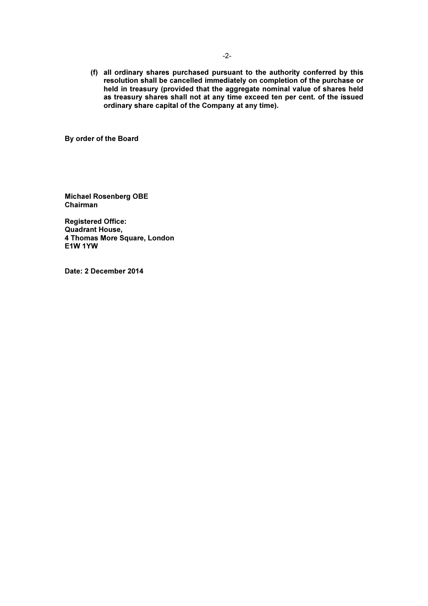(f) all ordinary shares purchased pursuant to the authority conferred by this resolution shall be cancelled immediately on completion of the purchase or held in treasury (provided that the aggregate nominal value of shares held as treasury shares shall not at any time exceed ten per cent. of the issued ordinary share capital of the Company at any time).

By order of the Board

Michael Rosenberg OBE Chairman

Registered Office: Quadrant House, 4 Thomas More Square, London E1W 1YW

Date: 2 December 2014